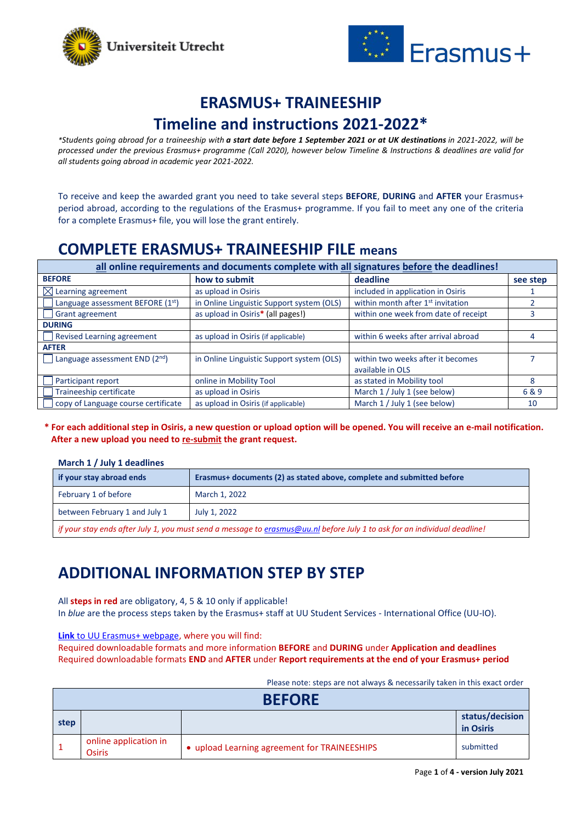



### **ERASMUS+ TRAINEESHIP**

### **Timeline and instructions 2021-2022\***

*\*Students going abroad for a traineeship with a start date before 1 September 2021 or at UK destinations in 2021-2022, will be processed under the previous Erasmus+ programme (Call 2020), however below Timeline & Instructions & deadlines are valid for all students going abroad in academic year 2021-2022.* 

To receive and keep the awarded grant you need to take several steps **BEFORE**, **DURING** and **AFTER** your Erasmus+ period abroad, according to the regulations of the Erasmus+ programme. If you fail to meet any one of the criteria for a complete Erasmus+ file, you will lose the grant entirely.

# **COMPLETE ERASMUS+ TRAINEESHIP FILE means**

| all online requirements and documents complete with all signatures before the deadlines! |                                           |                                               |          |
|------------------------------------------------------------------------------------------|-------------------------------------------|-----------------------------------------------|----------|
| <b>BEFORE</b>                                                                            | how to submit                             | deadline                                      | see step |
| $\boxtimes$ Learning agreement                                                           | as upload in Osiris                       | included in application in Osiris             |          |
| Language assessment BEFORE (1st)                                                         | in Online Linguistic Support system (OLS) | within month after 1 <sup>st</sup> invitation |          |
| Grant agreement                                                                          | as upload in Osiris* (all pages!)         | within one week from date of receipt          |          |
| <b>DURING</b>                                                                            |                                           |                                               |          |
| <b>Revised Learning agreement</b>                                                        | as upload in Osiris (if applicable)       | within 6 weeks after arrival abroad           |          |
| <b>AFTER</b>                                                                             |                                           |                                               |          |
| Language assessment END (2nd)                                                            | in Online Linguistic Support system (OLS) | within two weeks after it becomes             |          |
|                                                                                          |                                           | available in OLS                              |          |
| Participant report                                                                       | online in Mobility Tool                   | as stated in Mobility tool                    | 8        |
| Traineeship certificate                                                                  | as upload in Osiris                       | March 1 / July 1 (see below)                  | 6&9      |
| copy of Language course certificate                                                      | as upload in Osiris (if applicable)       | March 1 / July 1 (see below)                  | 10       |

#### **\* For each additional step in Osiris, a new question or upload option will be opened. You will receive an e-mail notification. After a new upload you need to re-submit the grant request.**

#### **March 1 / July 1 deadlines**

| if your stay abroad ends                                                                                                   | Erasmus+ documents (2) as stated above, complete and submitted before |  |
|----------------------------------------------------------------------------------------------------------------------------|-----------------------------------------------------------------------|--|
| February 1 of before                                                                                                       | March 1, 2022                                                         |  |
| between February 1 and July 1                                                                                              | July 1, 2022                                                          |  |
| if your stay ends after July 1, you must send a message to erasmus@uu nl before July 1 to ask for an individual deadline l |                                                                       |  |

*if your stay ends after July 1, you must send a message t[o erasmus@uu.nl](mailto:erasmus@uu.nl) before July 1 to ask for an individual deadline!*

# **ADDITIONAL INFORMATION STEP BY STEP**

All **steps in red** are obligatory, 4, 5 & 10 only if applicable!

In *blue* are the process steps taken by the Erasmus+ staff at UU Student Services - International Office (UU-IO).

**Link** [to UU Erasmus+ webpage,](https://students.uu.nl/en/academics/study-abroad/funding-grants/erasmus-grants/erasmus-grants-for-traineeships) where you will find:

<span id="page-0-0"></span>Required downloadable formats and more information **BEFORE** and **DURING** under **Application and deadlines** Required downloadable formats **END** and **AFTER** under **Report requirements at the end of your Erasmus+ period**

Please note: steps are not always & necessarily taken in this exact order

| <b>BEFORE</b> |                                        |                                              |                              |
|---------------|----------------------------------------|----------------------------------------------|------------------------------|
| step          |                                        |                                              | status/decision<br>in Osiris |
|               | online application in<br><b>Osiris</b> | • upload Learning agreement for TRAINEESHIPS | submitted                    |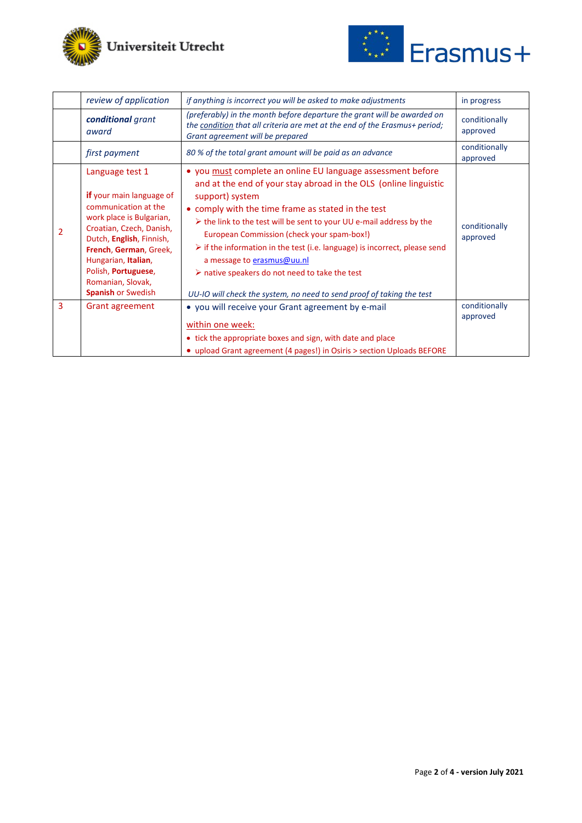



|                | review of application                                                                                                                                                                                                                                                                            | if anything is incorrect you will be asked to make adjustments                                                                                                                                                                                                                                                                                                                                                                                                                                                                                                                                                     | in progress               |
|----------------|--------------------------------------------------------------------------------------------------------------------------------------------------------------------------------------------------------------------------------------------------------------------------------------------------|--------------------------------------------------------------------------------------------------------------------------------------------------------------------------------------------------------------------------------------------------------------------------------------------------------------------------------------------------------------------------------------------------------------------------------------------------------------------------------------------------------------------------------------------------------------------------------------------------------------------|---------------------------|
|                | conditional grant<br>award                                                                                                                                                                                                                                                                       | (preferably) in the month before departure the grant will be awarded on<br>the condition that all criteria are met at the end of the Erasmus+ period;<br>Grant agreement will be prepared                                                                                                                                                                                                                                                                                                                                                                                                                          | conditionally<br>approved |
|                | first payment                                                                                                                                                                                                                                                                                    | 80 % of the total grant amount will be paid as an advance                                                                                                                                                                                                                                                                                                                                                                                                                                                                                                                                                          | conditionally<br>approved |
| $\overline{2}$ | Language test 1<br><b>if</b> your main language of<br>communication at the<br>work place is Bulgarian,<br>Croatian, Czech, Danish,<br>Dutch, English, Finnish,<br>French, German, Greek,<br>Hungarian, Italian,<br>Polish, <b>Portuguese</b> ,<br>Romanian, Slovak,<br><b>Spanish or Swedish</b> | • you must complete an online EU language assessment before<br>and at the end of your stay abroad in the OLS (online linguistic<br>support) system<br>• comply with the time frame as stated in the test<br>$\triangleright$ the link to the test will be sent to your UU e-mail address by the<br>European Commission (check your spam-box!)<br>$\triangleright$ if the information in the test (i.e. language) is incorrect, please send<br>a message to erasmus@uu.nl<br>$\triangleright$ native speakers do not need to take the test<br>UU-IO will check the system, no need to send proof of taking the test | conditionally<br>approved |
| 3              | Grant agreement                                                                                                                                                                                                                                                                                  | • you will receive your Grant agreement by e-mail<br>within one week:<br>• tick the appropriate boxes and sign, with date and place<br>• upload Grant agreement (4 pages!) in Osiris > section Uploads BEFORE                                                                                                                                                                                                                                                                                                                                                                                                      | conditionally<br>approved |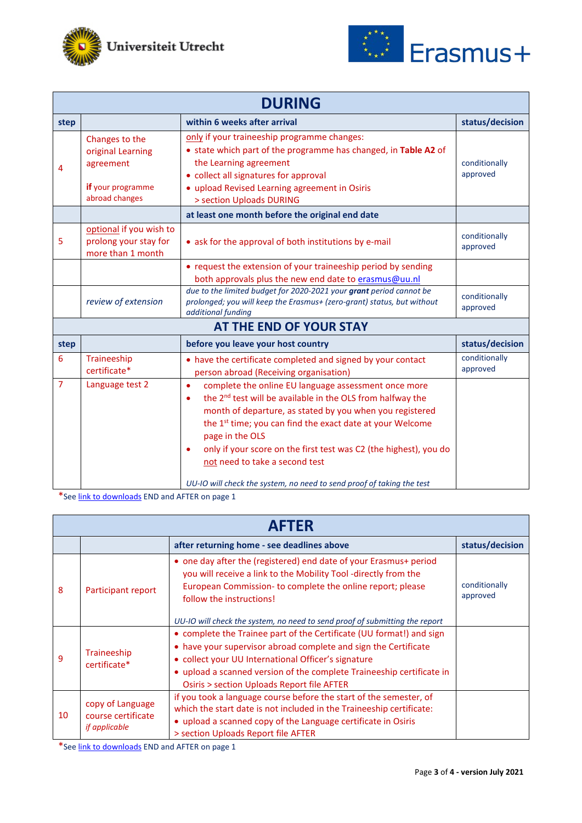



| <b>DURING</b>  |                                                                                         |                                                                                                                                                                                                                                                                                                                                                                                                                                                                                          |                           |  |
|----------------|-----------------------------------------------------------------------------------------|------------------------------------------------------------------------------------------------------------------------------------------------------------------------------------------------------------------------------------------------------------------------------------------------------------------------------------------------------------------------------------------------------------------------------------------------------------------------------------------|---------------------------|--|
| step           |                                                                                         | within 6 weeks after arrival                                                                                                                                                                                                                                                                                                                                                                                                                                                             | status/decision           |  |
| 4              | Changes to the<br>original Learning<br>agreement<br>if your programme<br>abroad changes | only if your traineeship programme changes:<br>• state which part of the programme has changed, in Table A2 of<br>the Learning agreement<br>• collect all signatures for approval<br>• upload Revised Learning agreement in Osiris<br>> section Uploads DURING                                                                                                                                                                                                                           | conditionally<br>approved |  |
|                |                                                                                         | at least one month before the original end date                                                                                                                                                                                                                                                                                                                                                                                                                                          |                           |  |
| 5              | optional if you wish to<br>prolong your stay for<br>more than 1 month                   | • ask for the approval of both institutions by e-mail                                                                                                                                                                                                                                                                                                                                                                                                                                    | conditionally<br>approved |  |
|                |                                                                                         | • request the extension of your traineeship period by sending<br>both approvals plus the new end date to erasmus@uu.nl                                                                                                                                                                                                                                                                                                                                                                   |                           |  |
|                | review of extension                                                                     | due to the limited budget for 2020-2021 your grant period cannot be<br>prolonged; you will keep the Erasmus+ (zero-grant) status, but without<br>additional funding                                                                                                                                                                                                                                                                                                                      | conditionally<br>approved |  |
|                | AT THE END OF YOUR STAY                                                                 |                                                                                                                                                                                                                                                                                                                                                                                                                                                                                          |                           |  |
| step           |                                                                                         | before you leave your host country                                                                                                                                                                                                                                                                                                                                                                                                                                                       | status/decision           |  |
| 6              | Traineeship<br>certificate*                                                             | • have the certificate completed and signed by your contact<br>person abroad (Receiving organisation)                                                                                                                                                                                                                                                                                                                                                                                    | conditionally<br>approved |  |
| $\overline{7}$ | Language test 2                                                                         | complete the online EU language assessment once more<br>$\bullet$<br>the 2 <sup>nd</sup> test will be available in the OLS from halfway the<br>٠<br>month of departure, as stated by you when you registered<br>the 1 <sup>st</sup> time; you can find the exact date at your Welcome<br>page in the OLS<br>only if your score on the first test was C2 (the highest), you do<br>not need to take a second test<br>UU-IO will check the system, no need to send proof of taking the test |                           |  |

\*Se[e link to downloads](#page-0-0) END and AFTER on page 1

| <b>AFTER</b> |                                                                |                                                                                                                                                                                                                                                                                                                       |                           |
|--------------|----------------------------------------------------------------|-----------------------------------------------------------------------------------------------------------------------------------------------------------------------------------------------------------------------------------------------------------------------------------------------------------------------|---------------------------|
|              |                                                                | after returning home - see deadlines above                                                                                                                                                                                                                                                                            | status/decision           |
| 8            | Participant report                                             | • one day after the (registered) end date of your Erasmus+ period<br>you will receive a link to the Mobility Tool -directly from the<br>European Commission-to complete the online report; please<br>follow the instructions!<br>UU-IO will check the system, no need to send proof of submitting the report          | conditionally<br>approved |
| 9            | Traineeship<br>certificate*                                    | • complete the Trainee part of the Certificate (UU format!) and sign<br>• have your supervisor abroad complete and sign the Certificate<br>• collect your UU International Officer's signature<br>• upload a scanned version of the complete Traineeship certificate in<br>Osiris > section Uploads Report file AFTER |                           |
| 10           | copy of Language<br>course certificate<br><i>if applicable</i> | if you took a language course before the start of the semester, of<br>which the start date is not included in the Traineeship certificate:<br>• upload a scanned copy of the Language certificate in Osiris<br>> section Uploads Report file AFTER                                                                    |                           |

\*Se[e link to downloads](#page-0-0) END and AFTER on page 1